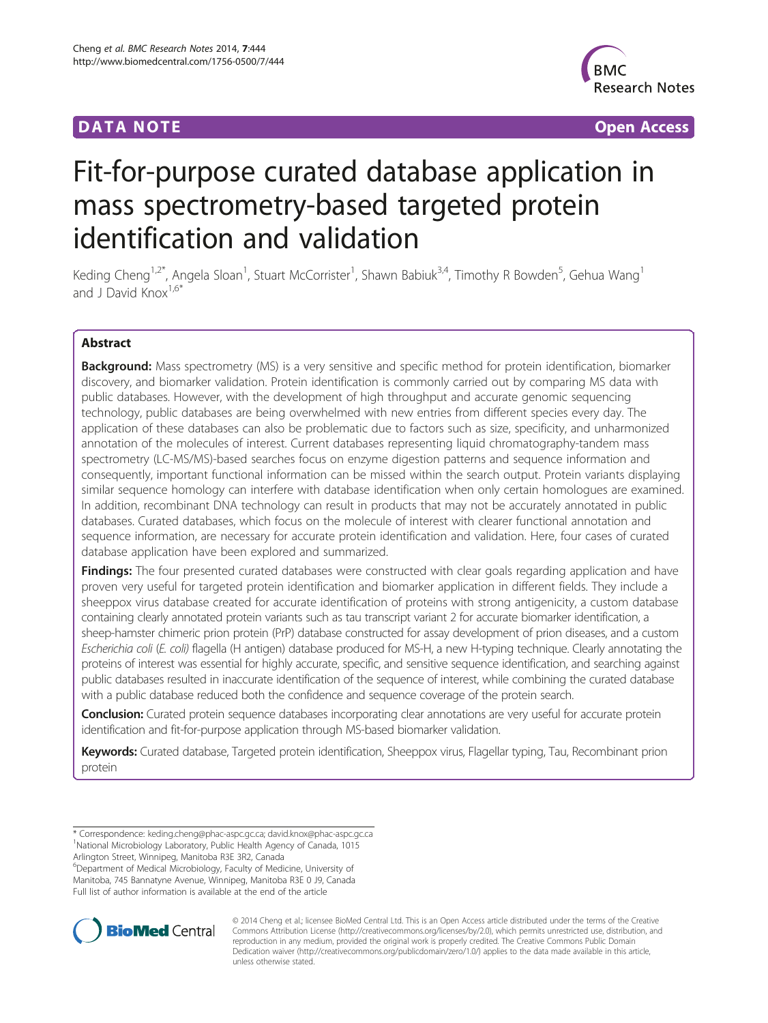# **DATA NOTE DATA NOTE** *DATA NOTE*



# Fit-for-purpose curated database application in mass spectrometry-based targeted protein identification and validation

Keding Cheng<sup>1,2\*</sup>, Angela Sloan<sup>1</sup>, Stuart McCorrister<sup>1</sup>, Shawn Babiuk<sup>3,4</sup>, Timothy R Bowden<sup>5</sup>, Gehua Wang<sup>1</sup> and J David Knox $1.6*$ 

# Abstract

**Background:** Mass spectrometry (MS) is a very sensitive and specific method for protein identification, biomarker discovery, and biomarker validation. Protein identification is commonly carried out by comparing MS data with public databases. However, with the development of high throughput and accurate genomic sequencing technology, public databases are being overwhelmed with new entries from different species every day. The application of these databases can also be problematic due to factors such as size, specificity, and unharmonized annotation of the molecules of interest. Current databases representing liquid chromatography-tandem mass spectrometry (LC-MS/MS)-based searches focus on enzyme digestion patterns and sequence information and consequently, important functional information can be missed within the search output. Protein variants displaying similar sequence homology can interfere with database identification when only certain homologues are examined. In addition, recombinant DNA technology can result in products that may not be accurately annotated in public databases. Curated databases, which focus on the molecule of interest with clearer functional annotation and sequence information, are necessary for accurate protein identification and validation. Here, four cases of curated database application have been explored and summarized.

Findings: The four presented curated databases were constructed with clear goals regarding application and have proven very useful for targeted protein identification and biomarker application in different fields. They include a sheeppox virus database created for accurate identification of proteins with strong antigenicity, a custom database containing clearly annotated protein variants such as tau transcript variant 2 for accurate biomarker identification, a sheep-hamster chimeric prion protein (PrP) database constructed for assay development of prion diseases, and a custom Escherichia coli (E. coli) flagella (H antigen) database produced for MS-H, a new H-typing technique. Clearly annotating the proteins of interest was essential for highly accurate, specific, and sensitive sequence identification, and searching against public databases resulted in inaccurate identification of the sequence of interest, while combining the curated database with a public database reduced both the confidence and sequence coverage of the protein search.

**Conclusion:** Curated protein sequence databases incorporating clear annotations are very useful for accurate protein identification and fit-for-purpose application through MS-based biomarker validation.

Keywords: Curated database, Targeted protein identification, Sheeppox virus, Flagellar typing, Tau, Recombinant prion protein

Arlington Street, Winnipeg, Manitoba R3E 3R2, Canada

<sup>6</sup>Department of Medical Microbiology, Faculty of Medicine, University of Manitoba, 745 Bannatyne Avenue, Winnipeg, Manitoba R3E 0 J9, Canada Full list of author information is available at the end of the article



© 2014 Cheng et al.; licensee BioMed Central Ltd. This is an Open Access article distributed under the terms of the Creative Commons Attribution License [\(http://creativecommons.org/licenses/by/2.0\)](http://creativecommons.org/licenses/by/2.0), which permits unrestricted use, distribution, and reproduction in any medium, provided the original work is properly credited. The Creative Commons Public Domain Dedication waiver [\(http://creativecommons.org/publicdomain/zero/1.0/](http://creativecommons.org/publicdomain/zero/1.0/)) applies to the data made available in this article, unless otherwise stated.

<sup>\*</sup> Correspondence: [keding.cheng@phac-aspc.gc.ca;](mailto:keding.cheng@phac-aspc.gc.ca) [david.knox@phac-aspc.gc.ca](mailto:david.knox@phac-aspc.gc.ca) <sup>1</sup> <sup>1</sup>National Microbiology Laboratory, Public Health Agency of Canada, 1015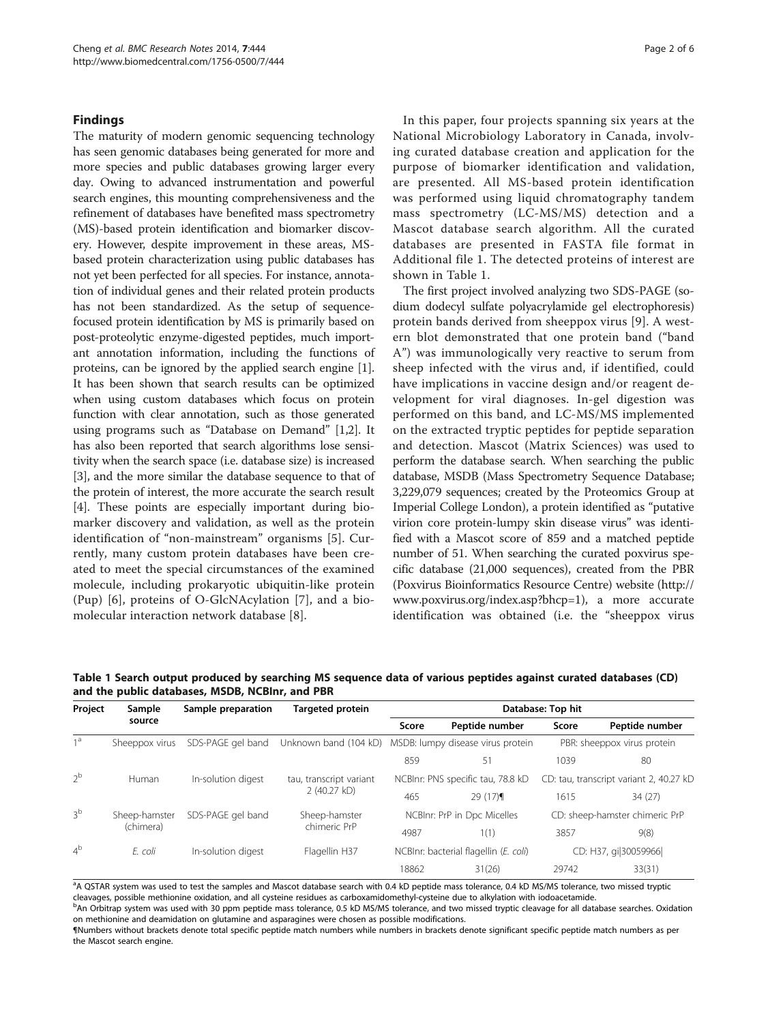## <span id="page-1-0"></span>Findings

The maturity of modern genomic sequencing technology has seen genomic databases being generated for more and more species and public databases growing larger every day. Owing to advanced instrumentation and powerful search engines, this mounting comprehensiveness and the refinement of databases have benefited mass spectrometry (MS)-based protein identification and biomarker discovery. However, despite improvement in these areas, MSbased protein characterization using public databases has not yet been perfected for all species. For instance, annotation of individual genes and their related protein products has not been standardized. As the setup of sequencefocused protein identification by MS is primarily based on post-proteolytic enzyme-digested peptides, much important annotation information, including the functions of proteins, can be ignored by the applied search engine [[1](#page-4-0)]. It has been shown that search results can be optimized when using custom databases which focus on protein function with clear annotation, such as those generated using programs such as "Database on Demand" [\[1,2\]](#page-4-0). It has also been reported that search algorithms lose sensitivity when the search space (i.e. database size) is increased [[3\]](#page-4-0), and the more similar the database sequence to that of the protein of interest, the more accurate the search result [[4\]](#page-4-0). These points are especially important during biomarker discovery and validation, as well as the protein identification of "non-mainstream" organisms [[5](#page-4-0)]. Currently, many custom protein databases have been created to meet the special circumstances of the examined molecule, including prokaryotic ubiquitin-like protein (Pup) [[6\]](#page-4-0), proteins of O-GlcNAcylation [[7\]](#page-4-0), and a biomolecular interaction network database [[8\]](#page-4-0).

In this paper, four projects spanning six years at the National Microbiology Laboratory in Canada, involving curated database creation and application for the purpose of biomarker identification and validation, are presented. All MS-based protein identification was performed using liquid chromatography tandem mass spectrometry (LC-MS/MS) detection and a Mascot database search algorithm. All the curated databases are presented in FASTA file format in Additional file [1](#page-4-0). The detected proteins of interest are shown in Table 1.

The first project involved analyzing two SDS-PAGE (sodium dodecyl sulfate polyacrylamide gel electrophoresis) protein bands derived from sheeppox virus [[9\]](#page-4-0). A western blot demonstrated that one protein band ("band A") was immunologically very reactive to serum from sheep infected with the virus and, if identified, could have implications in vaccine design and/or reagent development for viral diagnoses. In-gel digestion was performed on this band, and LC-MS/MS implemented on the extracted tryptic peptides for peptide separation and detection. Mascot (Matrix Sciences) was used to perform the database search. When searching the public database, MSDB (Mass Spectrometry Sequence Database; 3,229,079 sequences; created by the Proteomics Group at Imperial College London), a protein identified as "putative virion core protein-lumpy skin disease virus" was identified with a Mascot score of 859 and a matched peptide number of 51. When searching the curated poxvirus specific database (21,000 sequences), created from the PBR (Poxvirus Bioinformatics Resource Centre) website [\(http://](http://www.poxvirus.org/index.asp?bhcp=1) [www.poxvirus.org/index.asp?bhcp=1\)](http://www.poxvirus.org/index.asp?bhcp=1), a more accurate identification was obtained (i.e. the "sheeppox virus

| Project        | Sample<br>source           | Sample preparation | <b>Targeted protein</b>                 | Database: Top hit                                       |                                   |                                |                                         |
|----------------|----------------------------|--------------------|-----------------------------------------|---------------------------------------------------------|-----------------------------------|--------------------------------|-----------------------------------------|
|                |                            |                    |                                         | Score                                                   | Peptide number                    | Score                          | Peptide number                          |
| 1 <sup>a</sup> | Sheeppox virus             | SDS-PAGE gel band  |                                         | Unknown band (104 kD) MSDB: lumpy disease virus protein |                                   | PBR: sheeppox virus protein    |                                         |
|                |                            |                    |                                         | 859                                                     | 51                                | 1039                           | 80                                      |
| $2^{b}$        | Human                      | In-solution digest | tau, transcript variant<br>2 (40.27 kD) |                                                         | NCBInr: PNS specific tau, 78.8 kD |                                | CD: tau, transcript variant 2, 40.27 kD |
|                |                            |                    |                                         | 465                                                     | 29(17)                            | 1615                           | 34(27)                                  |
| 3 <sup>b</sup> | Sheep-hamster<br>(chimera) | SDS-PAGE gel band  | Sheep-hamster<br>chimeric PrP           | NCBInr: PrP in Dpc Micelles                             |                                   | CD: sheep-hamster chimeric PrP |                                         |
|                |                            |                    |                                         | 4987                                                    | 1(1)                              | 3857                           | 9(8)                                    |
| 4 <sup>b</sup> | E. coli                    | In-solution digest | Flagellin H37                           | NCBInr: bacterial flagellin (E. coli)                   |                                   | CD: H37, gi 30059966           |                                         |
|                |                            |                    |                                         | 18862                                                   | 31(26)                            | 29742                          | 33(31)                                  |

Table 1 Search output produced by searching MS sequence data of various peptides against curated databases (CD) and the public databases, MSDB, NCBInr, and PBR

<sup>a</sup>A QSTAR system was used to test the samples and Mascot database search with 0.4 kD peptide mass tolerance, 0.4 kD MS/MS tolerance, two missed tryptic cleavages, possible methionine oxidation, and all cysteine residues as carboxamidomethyl-cysteine due to alkylation with iodoacetamide.

b<br>An Orbitrap system was used with 30 ppm peptide mass tolerance, 0.5 kD MS/MS tolerance, and two missed tryptic cleavage for all database searches. Oxidation on methionine and deamidation on glutamine and asparagines were chosen as possible modifications.

¶Numbers without brackets denote total specific peptide match numbers while numbers in brackets denote significant specific peptide match numbers as per the Mascot search engine.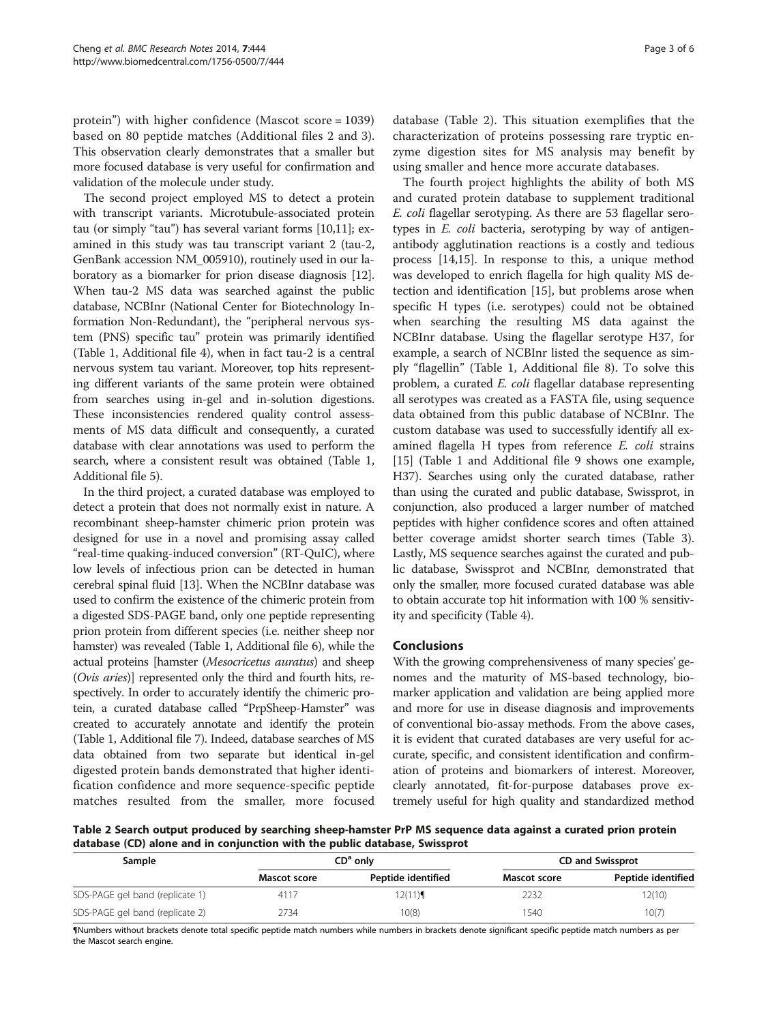protein") with higher confidence (Mascot score = 1039) based on 80 peptide matches (Additional files [2](#page-4-0) and [3](#page-4-0)). This observation clearly demonstrates that a smaller but more focused database is very useful for confirmation and validation of the molecule under study.

The second project employed MS to detect a protein with transcript variants. Microtubule-associated protein tau (or simply "tau") has several variant forms [\[10,11\]](#page-4-0); examined in this study was tau transcript variant 2 (tau-2, GenBank accession NM\_005910), routinely used in our laboratory as a biomarker for prion disease diagnosis [[12](#page-4-0)]. When tau-2 MS data was searched against the public database, NCBInr (National Center for Biotechnology Information Non-Redundant), the "peripheral nervous system (PNS) specific tau" protein was primarily identified (Table [1,](#page-1-0) Additional file [4](#page-4-0)), when in fact tau-2 is a central nervous system tau variant. Moreover, top hits representing different variants of the same protein were obtained from searches using in-gel and in-solution digestions. These inconsistencies rendered quality control assessments of MS data difficult and consequently, a curated database with clear annotations was used to perform the search, where a consistent result was obtained (Table [1](#page-1-0), Additional file [5](#page-4-0)).

In the third project, a curated database was employed to detect a protein that does not normally exist in nature. A recombinant sheep-hamster chimeric prion protein was designed for use in a novel and promising assay called "real-time quaking-induced conversion" (RT-QuIC), where low levels of infectious prion can be detected in human cerebral spinal fluid [\[13\]](#page-4-0). When the NCBInr database was used to confirm the existence of the chimeric protein from a digested SDS-PAGE band, only one peptide representing prion protein from different species (i.e. neither sheep nor hamster) was revealed (Table [1](#page-1-0), Additional file [6\)](#page-4-0), while the actual proteins [hamster (Mesocricetus auratus) and sheep (*Ovis aries*)] represented only the third and fourth hits, respectively. In order to accurately identify the chimeric protein, a curated database called "PrpSheep-Hamster" was created to accurately annotate and identify the protein (Table [1](#page-1-0), Additional file [7\)](#page-4-0). Indeed, database searches of MS data obtained from two separate but identical in-gel digested protein bands demonstrated that higher identification confidence and more sequence-specific peptide matches resulted from the smaller, more focused database (Table 2). This situation exemplifies that the characterization of proteins possessing rare tryptic enzyme digestion sites for MS analysis may benefit by using smaller and hence more accurate databases.

The fourth project highlights the ability of both MS and curated protein database to supplement traditional E. coli flagellar serotyping. As there are 53 flagellar serotypes in E. coli bacteria, serotyping by way of antigenantibody agglutination reactions is a costly and tedious process [\[14](#page-4-0)[,15\]](#page-5-0). In response to this, a unique method was developed to enrich flagella for high quality MS detection and identification [\[15\]](#page-5-0), but problems arose when specific H types (i.e. serotypes) could not be obtained when searching the resulting MS data against the NCBInr database. Using the flagellar serotype H37, for example, a search of NCBInr listed the sequence as simply "flagellin" (Table [1,](#page-1-0) Additional file [8\)](#page-4-0). To solve this problem, a curated E. coli flagellar database representing all serotypes was created as a FASTA file, using sequence data obtained from this public database of NCBInr. The custom database was used to successfully identify all examined flagella H types from reference E. coli strains [[15\]](#page-5-0) (Table [1](#page-1-0) and Additional file [9](#page-4-0) shows one example, H37). Searches using only the curated database, rather than using the curated and public database, Swissprot, in conjunction, also produced a larger number of matched peptides with higher confidence scores and often attained better coverage amidst shorter search times (Table [3](#page-3-0)). Lastly, MS sequence searches against the curated and public database, Swissprot and NCBInr, demonstrated that only the smaller, more focused curated database was able to obtain accurate top hit information with 100 % sensitivity and specificity (Table [4\)](#page-3-0).

### Conclusions

With the growing comprehensiveness of many species' genomes and the maturity of MS-based technology, biomarker application and validation are being applied more and more for use in disease diagnosis and improvements of conventional bio-assay methods. From the above cases, it is evident that curated databases are very useful for accurate, specific, and consistent identification and confirmation of proteins and biomarkers of interest. Moreover, clearly annotated, fit-for-purpose databases prove extremely useful for high quality and standardized method

Table 2 Search output produced by searching sheep-hamster PrP MS sequence data against a curated prion protein database (CD) alone and in conjunction with the public database, Swissprot

| Sample                          |              | $CDa$ only         | <b>CD and Swissprot</b> |                    |  |
|---------------------------------|--------------|--------------------|-------------------------|--------------------|--|
|                                 | Mascot score | Peptide identified | Mascot score            | Peptide identified |  |
| SDS-PAGE gel band (replicate 1) | 4117         | $12(11)$ ¶         | 2232                    | 12(10)             |  |
| SDS-PAGE gel band (replicate 2) | 2734         | 10(8)              | 540                     | 10(7)              |  |

¶Numbers without brackets denote total specific peptide match numbers while numbers in brackets denote significant specific peptide match numbers as per the Mascot search engine.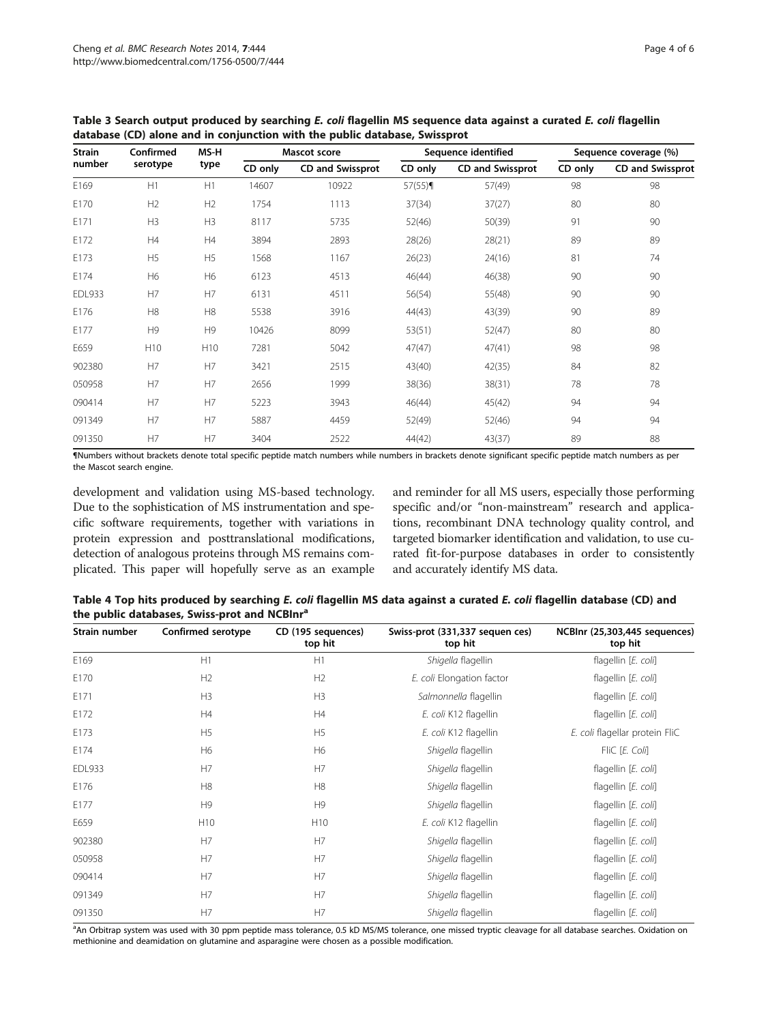| <b>Strain</b><br>number | Confirmed<br>serotype | MS-H<br>type    | Mascot score |                         | Sequence identified |                         | Sequence coverage (%) |                         |
|-------------------------|-----------------------|-----------------|--------------|-------------------------|---------------------|-------------------------|-----------------------|-------------------------|
|                         |                       |                 | CD only      | <b>CD and Swissprot</b> | CD only             | <b>CD and Swissprot</b> | CD only               | <b>CD and Swissprot</b> |
| E169                    | H1                    | H1              | 14607        | 10922                   | 57(55)              | 57(49)                  | 98                    | 98                      |
| E170                    | H2                    | H <sub>2</sub>  | 1754         | 1113                    | 37(34)              | 37(27)                  | 80                    | 80                      |
| E171                    | H3                    | H3              | 8117         | 5735                    | 52(46)              | 50(39)                  | 91                    | 90                      |
| E172                    | H4                    | H4              | 3894         | 2893                    | 28(26)              | 28(21)                  | 89                    | 89                      |
| E173                    | H <sub>5</sub>        | H <sub>5</sub>  | 1568         | 1167                    | 26(23)              | 24(16)                  | 81                    | 74                      |
| E174                    | H <sub>6</sub>        | H <sub>6</sub>  | 6123         | 4513                    | 46(44)              | 46(38)                  | 90                    | 90                      |
| <b>EDL933</b>           | H7                    | H7              | 6131         | 4511                    | 56(54)              | 55(48)                  | 90                    | 90                      |
| E176                    | H <sub>8</sub>        | H <sub>8</sub>  | 5538         | 3916                    | 44(43)              | 43(39)                  | 90                    | 89                      |
| E177                    | H <sub>9</sub>        | H <sub>9</sub>  | 10426        | 8099                    | 53(51)              | 52(47)                  | 80                    | 80                      |
| E659                    | H10                   | H <sub>10</sub> | 7281         | 5042                    | 47(47)              | 47(41)                  | 98                    | 98                      |
| 902380                  | H7                    | H7              | 3421         | 2515                    | 43(40)              | 42(35)                  | 84                    | 82                      |
| 050958                  | H7                    | H7              | 2656         | 1999                    | 38(36)              | 38(31)                  | 78                    | 78                      |
| 090414                  | H7                    | H7              | 5223         | 3943                    | 46(44)              | 45(42)                  | 94                    | 94                      |
| 091349                  | H7                    | H7              | 5887         | 4459                    | 52(49)              | 52(46)                  | 94                    | 94                      |
| 091350                  | H7                    | H7              | 3404         | 2522                    | 44(42)              | 43(37)                  | 89                    | 88                      |

<span id="page-3-0"></span>Table 3 Search output produced by searching E. coli flagellin MS sequence data against a curated E. coli flagellin database (CD) alone and in conjunction with the public database, Swissprot

¶Numbers without brackets denote total specific peptide match numbers while numbers in brackets denote significant specific peptide match numbers as per the Mascot search engine.

development and validation using MS-based technology. Due to the sophistication of MS instrumentation and specific software requirements, together with variations in protein expression and posttranslational modifications, detection of analogous proteins through MS remains complicated. This paper will hopefully serve as an example and reminder for all MS users, especially those performing specific and/or "non-mainstream" research and applications, recombinant DNA technology quality control, and targeted biomarker identification and validation, to use curated fit-for-purpose databases in order to consistently and accurately identify MS data.

Table 4 Top hits produced by searching E. coli flagellin MS data against a curated E. coli flagellin database (CD) and the public databases, Swiss-prot and NCBInr<sup>a</sup>

| Strain number | Confirmed serotype | CD (195 sequences)<br>top hit | Swiss-prot (331,337 sequen ces)<br>top hit | NCBInr (25,303,445 sequences)<br>top hit |
|---------------|--------------------|-------------------------------|--------------------------------------------|------------------------------------------|
| E169          | H1                 | H1                            | Shigella flagellin                         | flagellin [E. coli]                      |
| E170          | H <sub>2</sub>     | H2                            | E. coli Elongation factor                  | flagellin [E. coli]                      |
| E171          | H3                 | H <sub>3</sub>                | Salmonnella flagellin                      | flagellin [E. coli]                      |
| E172          | H4                 | H4                            | E. coli K12 flagellin                      | flagellin [E. coli]                      |
| E173          | H <sub>5</sub>     | H <sub>5</sub>                | E. coli K12 flagellin                      | E. coli flagellar protein FliC           |
| E174          | H6                 | H <sub>6</sub>                | Shigella flagellin                         | FliC [E. Coli]                           |
| <b>EDL933</b> | H7                 | H7                            | Shigella flagellin                         | flagellin [E. coli]                      |
| E176          | H <sub>8</sub>     | H <sub>8</sub>                | Shigella flagellin                         | flagellin [E. coli]                      |
| E177          | H <sub>9</sub>     | H <sub>9</sub>                | Shigella flagellin                         | flagellin [E. coli]                      |
| E659          | H10                | H <sub>10</sub>               | E. coli K12 flagellin                      | flagellin [E. coli]                      |
| 902380        | H7                 | H7                            | Shigella flagellin                         | flagellin [E. coli]                      |
| 050958        | H7                 | H7                            | Shigella flagellin                         | flagellin [E. coli]                      |
| 090414        | H7                 | H7                            | Shigella flagellin                         | flagellin [E. coli]                      |
| 091349        | H7                 | H7                            | Shigella flagellin                         | flagellin [E. coli]                      |
| 091350        | H7                 | H7                            | Shigella flagellin                         | flagellin [E. coli]                      |

a<br>An Orbitrap system was used with 30 ppm peptide mass tolerance, 0.5 kD MS/MS tolerance, one missed tryptic cleavage for all database searches. Oxidation on methionine and deamidation on glutamine and asparagine were chosen as a possible modification.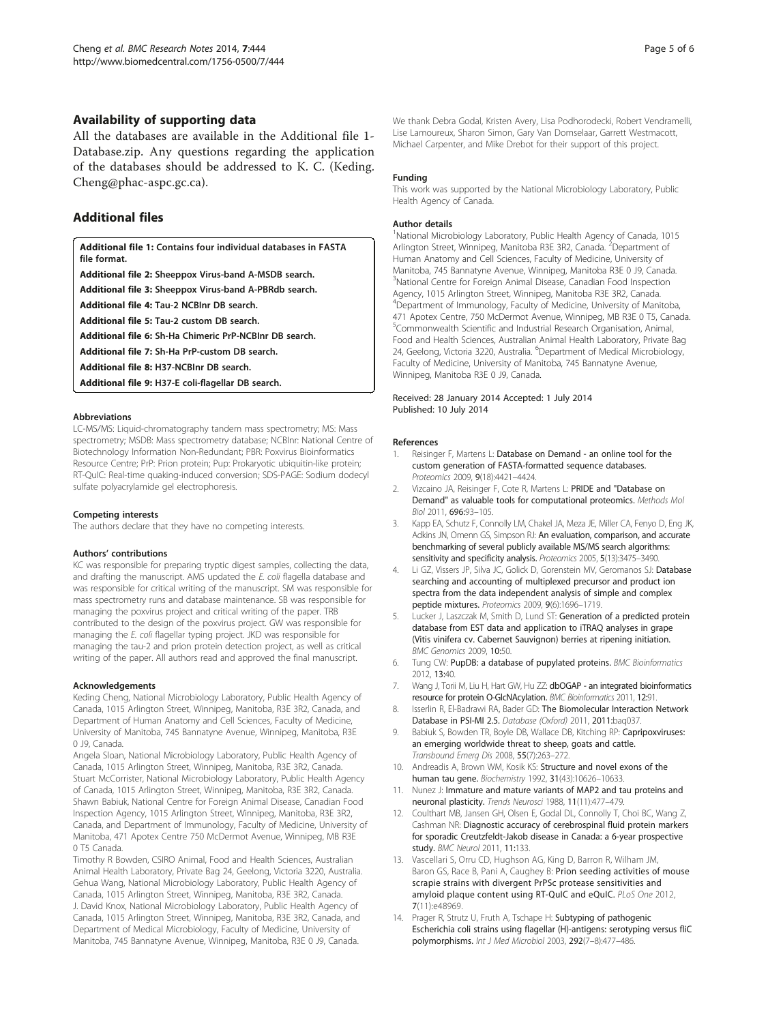## <span id="page-4-0"></span>Availability of supporting data

All the databases are available in the Additional file 1- Database.zip. Any questions regarding the application of the databases should be addressed to K. C. (Keding. Cheng@phac-aspc.gc.ca).

# Additional files

[Additional file 1:](http://www.biomedcentral.com/content/supplementary/1756-0500-7-444-S1.zip) Contains four individual databases in FASTA file format.

[Additional file 2:](http://www.biomedcentral.com/content/supplementary/1756-0500-7-444-S2.pdf) Sheeppox Virus-band A-MSDB search.

[Additional file 3:](http://www.biomedcentral.com/content/supplementary/1756-0500-7-444-S3.pdf) Sheeppox Virus-band A-PBRdb search.

[Additional file 4:](http://www.biomedcentral.com/content/supplementary/1756-0500-7-444-S4.pdf) Tau-2 NCBInr DB search.

[Additional file 5:](http://www.biomedcentral.com/content/supplementary/1756-0500-7-444-S5.pdf) Tau-2 custom DB search.

[Additional file 6:](http://www.biomedcentral.com/content/supplementary/1756-0500-7-444-S6.pdf) Sh-Ha Chimeric PrP-NCBInr DB search.

[Additional file 7:](http://www.biomedcentral.com/content/supplementary/1756-0500-7-444-S7.pdf) Sh-Ha PrP-custom DB search.

[Additional file 8:](http://www.biomedcentral.com/content/supplementary/1756-0500-7-444-S8.pdf) H37-NCBInr DB search.

[Additional file 9:](http://www.biomedcentral.com/content/supplementary/1756-0500-7-444-S9.pdf) H37-E coli-flagellar DB search.

#### Abbreviations

LC-MS/MS: Liquid-chromatography tandem mass spectrometry; MS: Mass spectrometry; MSDB: Mass spectrometry database; NCBInr: National Centre of Biotechnology Information Non-Redundant; PBR: Poxvirus Bioinformatics Resource Centre; PrP: Prion protein; Pup: Prokaryotic ubiquitin-like protein; RT-QuIC: Real-time quaking-induced conversion; SDS-PAGE: Sodium dodecyl sulfate polyacrylamide gel electrophoresis.

#### Competing interests

The authors declare that they have no competing interests.

#### Authors' contributions

KC was responsible for preparing tryptic digest samples, collecting the data, and drafting the manuscript. AMS updated the E. coli flagella database and was responsible for critical writing of the manuscript. SM was responsible for mass spectrometry runs and database maintenance. SB was responsible for managing the poxvirus project and critical writing of the paper. TRB contributed to the design of the poxvirus project. GW was responsible for managing the E. coli flagellar typing project. JKD was responsible for managing the tau-2 and prion protein detection project, as well as critical writing of the paper. All authors read and approved the final manuscript.

#### Acknowledgements

Keding Cheng, National Microbiology Laboratory, Public Health Agency of Canada, 1015 Arlington Street, Winnipeg, Manitoba, R3E 3R2, Canada, and Department of Human Anatomy and Cell Sciences, Faculty of Medicine, University of Manitoba, 745 Bannatyne Avenue, Winnipeg, Manitoba, R3E 0 J9, Canada.

Angela Sloan, National Microbiology Laboratory, Public Health Agency of Canada, 1015 Arlington Street, Winnipeg, Manitoba, R3E 3R2, Canada. Stuart McCorrister, National Microbiology Laboratory, Public Health Agency of Canada, 1015 Arlington Street, Winnipeg, Manitoba, R3E 3R2, Canada. Shawn Babiuk, National Centre for Foreign Animal Disease, Canadian Food Inspection Agency, 1015 Arlington Street, Winnipeg, Manitoba, R3E 3R2, Canada, and Department of Immunology, Faculty of Medicine, University of Manitoba, 471 Apotex Centre 750 McDermot Avenue, Winnipeg, MB R3E 0 T5 Canada.

Timothy R Bowden, CSIRO Animal, Food and Health Sciences, Australian Animal Health Laboratory, Private Bag 24, Geelong, Victoria 3220, Australia. Gehua Wang, National Microbiology Laboratory, Public Health Agency of Canada, 1015 Arlington Street, Winnipeg, Manitoba, R3E 3R2, Canada. J. David Knox, National Microbiology Laboratory, Public Health Agency of Canada, 1015 Arlington Street, Winnipeg, Manitoba, R3E 3R2, Canada, and Department of Medical Microbiology, Faculty of Medicine, University of Manitoba, 745 Bannatyne Avenue, Winnipeg, Manitoba, R3E 0 J9, Canada.

#### Funding

This work was supported by the National Microbiology Laboratory, Public Health Agency of Canada.

#### Author details

<sup>1</sup>National Microbiology Laboratory, Public Health Agency of Canada, 1015 Arlington Street, Winnipeg, Manitoba R3E 3R2, Canada. <sup>2</sup>Department of Human Anatomy and Cell Sciences, Faculty of Medicine, University of Manitoba, 745 Bannatyne Avenue, Winnipeg, Manitoba R3E 0 J9, Canada. <sup>3</sup>National Centre for Foreign Animal Disease, Canadian Food Inspection Agency, 1015 Arlington Street, Winnipeg, Manitoba R3E 3R2, Canada. 4 Department of Immunology, Faculty of Medicine, University of Manitoba, 471 Apotex Centre, 750 McDermot Avenue, Winnipeg, MB R3E 0 T5, Canada. 5 Commonwealth Scientific and Industrial Research Organisation, Animal, Food and Health Sciences, Australian Animal Health Laboratory, Private Bag 24, Geelong, Victoria 3220, Australia. <sup>6</sup>Department of Medical Microbiology Faculty of Medicine, University of Manitoba, 745 Bannatyne Avenue, Winnipeg, Manitoba R3E 0 J9, Canada.

Received: 28 January 2014 Accepted: 1 July 2014 Published: 10 July 2014

#### References

- 1. Reisinger F, Martens L: Database on Demand an online tool for the custom generation of FASTA-formatted sequence databases. Proteomics 2009, 9(18):4421–4424.
- 2. Vizcaino JA, Reisinger F, Cote R, Martens L: PRIDE and "Database on Demand" as valuable tools for computational proteomics. Methods Mol Biol 2011, 696:93–105.
- 3. Kapp EA, Schutz F, Connolly LM, Chakel JA, Meza JE, Miller CA, Fenyo D, Eng JK, Adkins JN, Omenn GS, Simpson RJ: An evaluation, comparison, and accurate benchmarking of several publicly available MS/MS search algorithms: sensitivity and specificity analysis. Proteomics 2005, 5(13):3475–3490.
- 4. Li GZ, Vissers JP, Silva JC, Golick D, Gorenstein MV, Geromanos SJ: Database searching and accounting of multiplexed precursor and product ion spectra from the data independent analysis of simple and complex peptide mixtures. Proteomics 2009, 9(6):1696–1719.
- 5. Lucker J, Laszczak M, Smith D, Lund ST: Generation of a predicted protein database from EST data and application to iTRAQ analyses in grape (Vitis vinifera cv. Cabernet Sauvignon) berries at ripening initiation. BMC Genomics 2009, 10:50.
- 6. Tung CW: PupDB: a database of pupylated proteins. BMC Bioinformatics 2012, 13:40.
- 7. Wang J, Torii M, Liu H, Hart GW, Hu ZZ: dbOGAP an integrated bioinformatics resource for protein O-GlcNAcylation. BMC Bioinformatics 2011, 12:91.
- 8. Isserlin R, El-Badrawi RA, Bader GD: The Biomolecular Interaction Network Database in PSI-MI 2.5. Database (Oxford) 2011, 2011:baq037.
- 9. Babiuk S, Bowden TR, Boyle DB, Wallace DB, Kitching RP: Capripoxviruses: an emerging worldwide threat to sheep, goats and cattle. Transbound Emerg Dis 2008, 55(7):263–272.
- 10. Andreadis A, Brown WM, Kosik KS: Structure and novel exons of the human tau gene. Biochemistry 1992, 31(43):10626–10633.
- 11. Nunez J: Immature and mature variants of MAP2 and tau proteins and neuronal plasticity. Trends Neurosci 1988, 11(11):477–479.
- 12. Coulthart MB, Jansen GH, Olsen E, Godal DL, Connolly T, Choi BC, Wang Z, Cashman NR: Diagnostic accuracy of cerebrospinal fluid protein markers for sporadic Creutzfeldt-Jakob disease in Canada: a 6-year prospective study. BMC Neurol 2011, 11:133.
- 13. Vascellari S, Orru CD, Hughson AG, King D, Barron R, Wilham JM, Baron GS, Race B, Pani A, Caughey B: Prion seeding activities of mouse scrapie strains with divergent PrPSc protease sensitivities and amyloid plaque content using RT-QuIC and eQuIC. PLoS One 2012, 7(11):e48969.
- 14. Prager R, Strutz U, Fruth A, Tschape H: Subtyping of pathogenic Escherichia coli strains using flagellar (H)-antigens: serotyping versus fliC polymorphisms. Int J Med Microbiol 2003, 292(7–8):477–486.